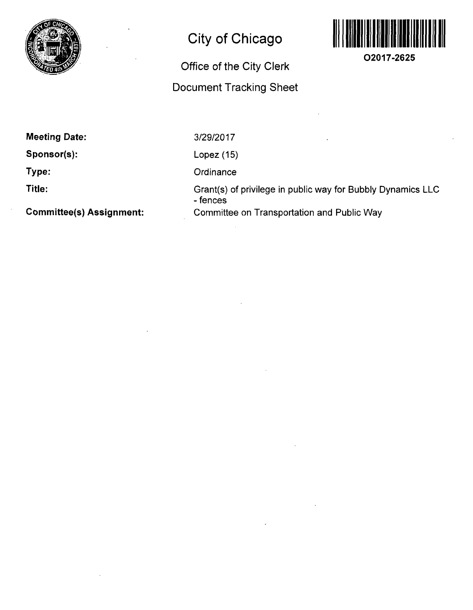

## **City of Chicago**

## **Office of the City Clerk Document Tracking Sheet**



**O2017-2625** 

**Meeting Date:** 

**Sponsor(s):** 

**Type:** 

**Title:** 

**Committee(s) Assignment:** 

3/29/2017

Lopez (15)

**Ordinance** 

Grant(s) of privilege in public way for Bubbly Dynamics LLC - fences Committee on Transportation and Public Way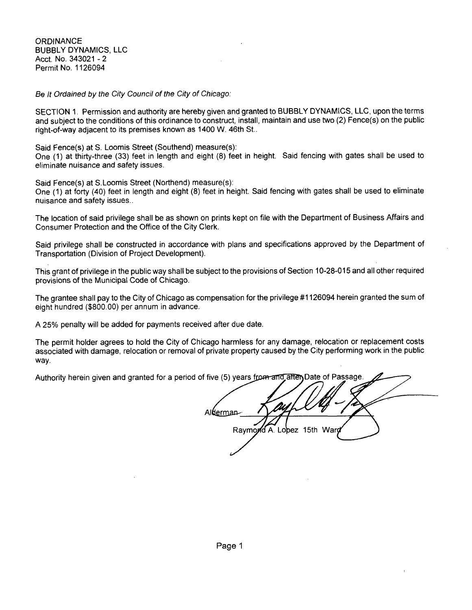**ORDINANCE** BUBBLY DYNAMICS, LLC Acct, No. 343021 - 2 Permit No. 1126094

Be It Ordained by the City Council of the City of Chicago:

SECTION 1. Permission and authority are hereby given and granted to BUBBLY DYNAMICS, LLC, upon the terms and subject to the conditions of this ordinance to construct, install, maintain and use two (2) Fence(s) on the public right-of-way adjacent to its premises known as 1400 W. 46th St..

Said Fence(s) at S. Loomis Street (Southend) measure(s):

One (1) at thirty-three (33) feet in length and eight (8) feet in height. Said fencing with gates shall be used to eliminate nuisance and safety issues.

Said Fence(s) at S.Loomis Street (Northend) measure(s):

One (1) at forty (40) feet in length and eight (8) feet in height. Said fencing with gates shall be used to eliminate nuisance and safety issues..

The location of said privilege shall be as shown on prints kept on file with the Department of Business Affairs and Consumer Protection and the Office of the City Clerk.

Said privilege shall be constructed in accordance with plans and specifications approved by the Department of Transportation (Division of Project Development).

This grant of privilege in the public way shall be subject to the provisions of Section 10-28-015 and all other required provisions of the Municipal Code of Chicago.

The grantee shall pay to the City of Chicago as compensation for the privilege #1126094 herein granted the sum of eight hundred (\$800.00) per annum in advance.

A 25% penalty will be added for payments received after due date.

The permit holder agrees to hold the City of Chicago harmless for any damage, relocation or replacement costs associated with damage, relocation or removal of private property caused by the City performing work in the public way.

Authority herein given and granted for a period of five (5) years from and after Date of Passage

Alderman Raymond A. Lopez 15th War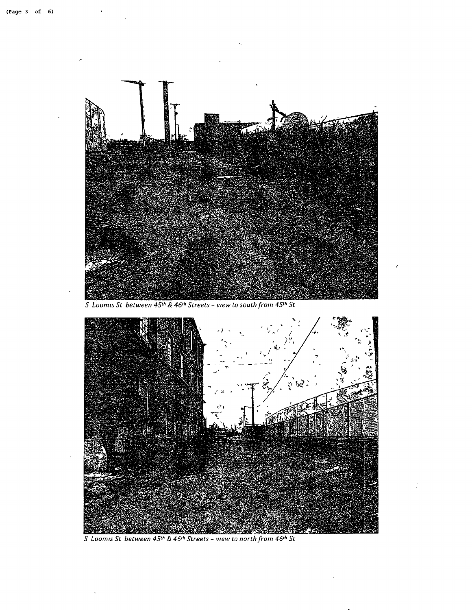

S Loomis St between  $45$ <sup>th</sup> &  $46$ <sup>th</sup> Streets - view to south from  $45$ <sup>th</sup> St



S Loomis St between  $45^{th}$  &  $46^{th}$  Streets - view to north from  $46^{th}$  St